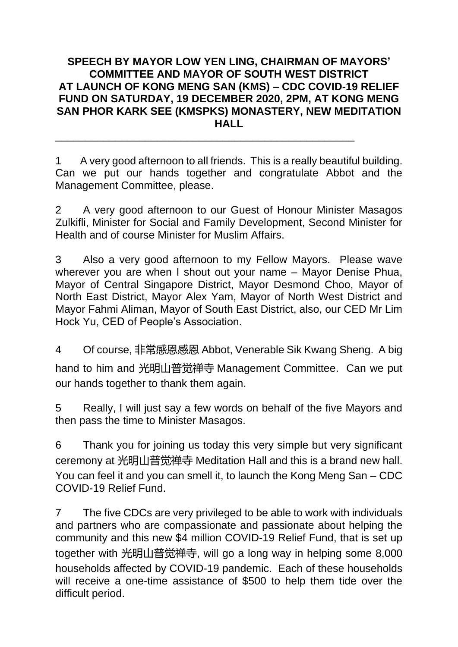## **SPEECH BY MAYOR LOW YEN LING, CHAIRMAN OF MAYORS' COMMITTEE AND MAYOR OF SOUTH WEST DISTRICT AT LAUNCH OF KONG MENG SAN (KMS) – CDC COVID-19 RELIEF FUND ON SATURDAY, 19 DECEMBER 2020, 2PM, AT KONG MENG SAN PHOR KARK SEE (KMSPKS) MONASTERY, NEW MEDITATION HALL**

1 A very good afternoon to all friends. This is a really beautiful building. Can we put our hands together and congratulate Abbot and the Management Committee, please.

\_\_\_\_\_\_\_\_\_\_\_\_\_\_\_\_\_\_\_\_\_\_\_\_\_\_\_\_\_\_\_\_\_\_\_\_\_\_\_\_\_\_\_\_\_\_\_\_\_\_

2 A very good afternoon to our Guest of Honour Minister Masagos Zulkifli, Minister for Social and Family Development, Second Minister for Health and of course Minister for Muslim Affairs.

3 Also a very good afternoon to my Fellow Mayors. Please wave wherever you are when I shout out your name – Mayor Denise Phua, Mayor of Central Singapore District, Mayor Desmond Choo, Mayor of North East District, Mayor Alex Yam, Mayor of North West District and Mayor Fahmi Aliman, Mayor of South East District, also, our CED Mr Lim Hock Yu, CED of People's Association.

4 Of course, 非常感恩感恩 Abbot, Venerable Sik Kwang Sheng. A big hand to him and 光明山普觉禅寺 Management Committee. Can we put our hands together to thank them again.

5 Really, I will just say a few words on behalf of the five Mayors and then pass the time to Minister Masagos.

6 Thank you for joining us today this very simple but very significant ceremony at 光明山普觉禅寺 Meditation Hall and this is a brand new hall. You can feel it and you can smell it, to launch the Kong Meng San – CDC COVID-19 Relief Fund.

7 The five CDCs are very privileged to be able to work with individuals and partners who are compassionate and passionate about helping the community and this new \$4 million COVID-19 Relief Fund, that is set up together with 光明山普觉禅寺, will go a long way in helping some 8,000 households affected by COVID-19 pandemic. Each of these households will receive a one-time assistance of \$500 to help them tide over the difficult period.